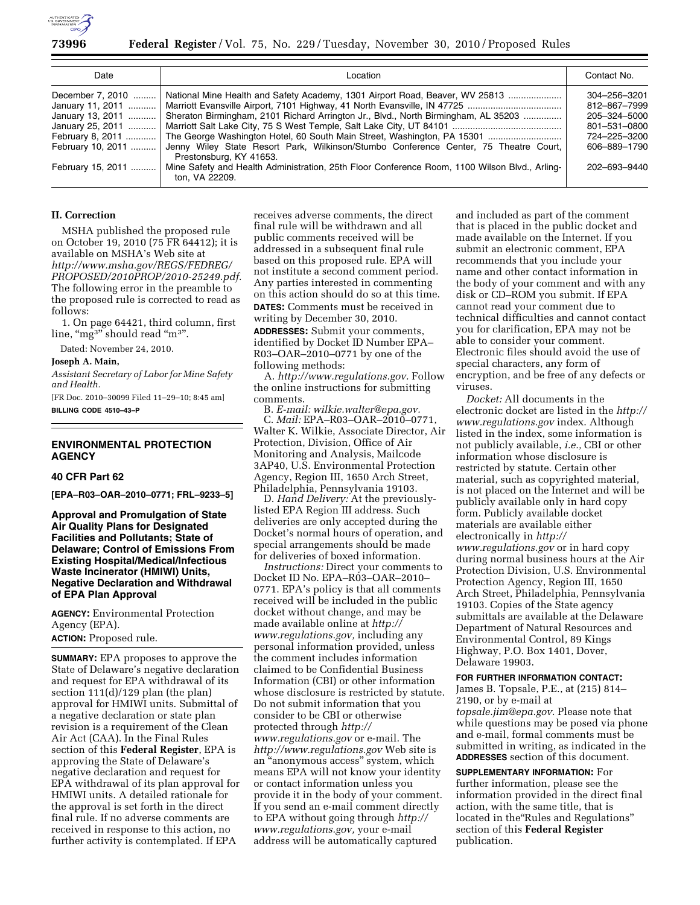

| Date              | Location                                                                                                                           | Contact No.  |
|-------------------|------------------------------------------------------------------------------------------------------------------------------------|--------------|
|                   | December 7, 2010  National Mine Health and Safety Academy, 1301 Airport Road, Beaver, WV 25813                                     | 304-256-3201 |
| January 11, 2011  |                                                                                                                                    | 812-867-7999 |
| January 13, 2011  | Sheraton Birmingham, 2101 Richard Arrington Jr., Blvd., North Birmingham, AL 35203                                                 | 205-324-5000 |
|                   |                                                                                                                                    | 801-531-0800 |
|                   |                                                                                                                                    | 724-225-3200 |
| February 10, 2011 | Jenny Wiley State Resort Park, Wilkinson/Stumbo Conference Center, 75 Theatre Court,<br>Prestonsburg, KY 41653.                    | 606-889-1790 |
|                   | February 15, 2011  Mine Safety and Health Administration, 25th Floor Conference Room, 1100 Wilson Blvd., Arling-<br>ton. VA 22209. | 202-693-9440 |

### **II. Correction**

MSHA published the proposed rule on October 19, 2010 (75 FR 64412); it is available on MSHA's Web site at *[http://www.msha.gov/REGS/FEDREG/](http://www.msha.gov/REGS/FEDREG/PROPOSED/2010PROP/2010-25249.pdf) [PROPOSED/2010PROP/2010-25249.pdf.](http://www.msha.gov/REGS/FEDREG/PROPOSED/2010PROP/2010-25249.pdf)*  The following error in the preamble to the proposed rule is corrected to read as follows:

1. On page 64421, third column, first line, "mg<sup>3"</sup> should read "m<sup>3"</sup>.

Dated: November 24, 2010.

### **Joseph A. Main,**

*Assistant Secretary of Labor for Mine Safety and Health.* 

[FR Doc. 2010–30099 Filed 11–29–10; 8:45 am] **BILLING CODE 4510–43–P** 

## **ENVIRONMENTAL PROTECTION AGENCY**

## **40 CFR Part 62**

**[EPA–R03–OAR–2010–0771; FRL–9233–5]** 

**Approval and Promulgation of State Air Quality Plans for Designated Facilities and Pollutants; State of Delaware; Control of Emissions From Existing Hospital/Medical/Infectious Waste Incinerator (HMIWI) Units, Negative Declaration and Withdrawal of EPA Plan Approval** 

**AGENCY:** Environmental Protection Agency (EPA).

# **ACTION:** Proposed rule.

**SUMMARY:** EPA proposes to approve the State of Delaware's negative declaration and request for EPA withdrawal of its section 111(d)/129 plan (the plan) approval for HMIWI units. Submittal of a negative declaration or state plan revision is a requirement of the Clean Air Act (CAA). In the Final Rules section of this **Federal Register**, EPA is approving the State of Delaware's negative declaration and request for EPA withdrawal of its plan approval for HMIWI units. A detailed rationale for the approval is set forth in the direct final rule. If no adverse comments are received in response to this action, no further activity is contemplated. If EPA

receives adverse comments, the direct final rule will be withdrawn and all public comments received will be addressed in a subsequent final rule based on this proposed rule. EPA will not institute a second comment period. Any parties interested in commenting on this action should do so at this time. **DATES:** Comments must be received in writing by December 30, 2010.

**ADDRESSES:** Submit your comments, identified by Docket ID Number EPA– R03–OAR–2010–0771 by one of the following methods:

A. *[http://www.regulations.gov.](http://www.regulations.gov)* Follow the online instructions for submitting comments.

B. *E-mail: [wilkie.walter@epa.gov.](mailto:wilkie.walter@epa.gov)*  C. *Mail:* EPA–R03–OAR–2010–0771, Walter K. Wilkie, Associate Director, Air Protection, Division, Office of Air Monitoring and Analysis, Mailcode 3AP40, U.S. Environmental Protection Agency, Region III, 1650 Arch Street, Philadelphia, Pennsylvania 19103.

D. *Hand Delivery:* At the previouslylisted EPA Region III address. Such deliveries are only accepted during the Docket's normal hours of operation, and special arrangements should be made for deliveries of boxed information.

*Instructions:* Direct your comments to Docket ID No. EPA–R03–OAR–2010– 0771. EPA's policy is that all comments received will be included in the public docket without change, and may be made available online at *[http://](http://www.regulations.gov) [www.regulations.gov,](http://www.regulations.gov)* including any personal information provided, unless the comment includes information claimed to be Confidential Business Information (CBI) or other information whose disclosure is restricted by statute. Do not submit information that you consider to be CBI or otherwise protected through *[http://](http://www.regulations.gov) [www.regulations.gov](http://www.regulations.gov)* or e-mail. The *<http://www.regulations.gov>* Web site is an ''anonymous access'' system, which means EPA will not know your identity or contact information unless you provide it in the body of your comment. If you send an e-mail comment directly to EPA without going through *[http://](http://www.regulations.gov) [www.regulations.gov,](http://www.regulations.gov)* your e-mail address will be automatically captured

and included as part of the comment that is placed in the public docket and made available on the Internet. If you submit an electronic comment, EPA recommends that you include your name and other contact information in the body of your comment and with any disk or CD–ROM you submit. If EPA cannot read your comment due to technical difficulties and cannot contact you for clarification, EPA may not be able to consider your comment. Electronic files should avoid the use of special characters, any form of encryption, and be free of any defects or viruses.

*Docket:* All documents in the electronic docket are listed in the *[http://](http://www.regulations.gov) [www.regulations.gov](http://www.regulations.gov)* index. Although listed in the index, some information is not publicly available, *i.e.,* CBI or other information whose disclosure is restricted by statute. Certain other material, such as copyrighted material, is not placed on the Internet and will be publicly available only in hard copy form. Publicly available docket materials are available either electronically in *[http://](http://www.regulations.gov) [www.regulations.gov](http://www.regulations.gov)* or in hard copy during normal business hours at the Air Protection Division, U.S. Environmental Protection Agency, Region III, 1650 Arch Street, Philadelphia, Pennsylvania 19103. Copies of the State agency submittals are available at the Delaware Department of Natural Resources and Environmental Control, 89 Kings Highway, P.O. Box 1401, Dover, Delaware 19903.

## **FOR FURTHER INFORMATION CONTACT:**

James B. Topsale, P.E., at (215) 814– 2190, or by e-mail at *[topsale.jim@epa.gov.](mailto:topsale.jim@epa.gov)* Please note that while questions may be posed via phone and e-mail, formal comments must be submitted in writing, as indicated in the **ADDRESSES** section of this document.

## **SUPPLEMENTARY INFORMATION:** For

further information, please see the information provided in the direct final action, with the same title, that is located in the''Rules and Regulations'' section of this **Federal Register**  publication.